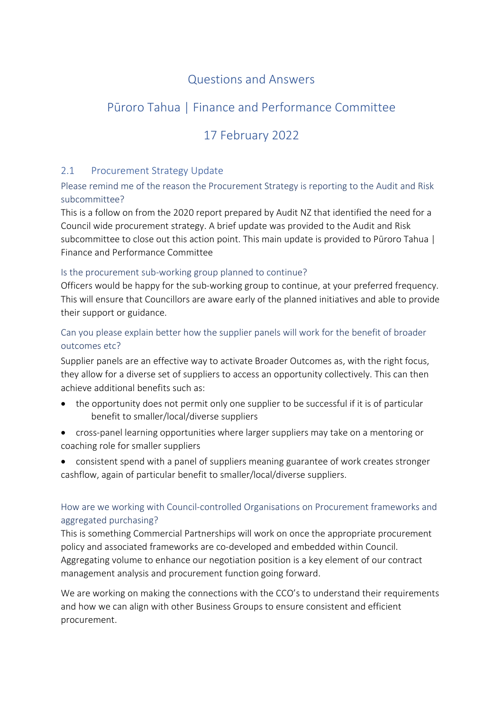## Questions and Answers

# Pūroro Tahua | Finance and Performance Committee

# 17 February 2022

### 2.1 Procurement Strategy Update

Please remind me of the reason the Procurement Strategy is reporting to the Audit and Risk subcommittee?

This is a follow on from the 2020 report prepared by Audit NZ that identified the need for a Council wide procurement strategy. A brief update was provided to the Audit and Risk subcommittee to close out this action point. This main update is provided to Pūroro Tahua | Finance and Performance Committee

#### Is the procurement sub-working group planned to continue?

Officers would be happy for the sub-working group to continue, at your preferred frequency. This will ensure that Councillors are aware early of the planned initiatives and able to provide their support or guidance.

## Can you please explain better how the supplier panels will work for the benefit of broader outcomes etc?

Supplier panels are an effective way to activate Broader Outcomes as, with the right focus, they allow for a diverse set of suppliers to access an opportunity collectively. This can then achieve additional benefits such as:

- the opportunity does not permit only one supplier to be successful if it is of particular benefit to smaller/local/diverse suppliers
- cross-panel learning opportunities where larger suppliers may take on a mentoring or coaching role for smaller suppliers
- consistent spend with a panel of suppliers meaning guarantee of work creates stronger cashflow, again of particular benefit to smaller/local/diverse suppliers.

## How are we working with Council-controlled Organisations on Procurement frameworks and aggregated purchasing?

This is something Commercial Partnerships will work on once the appropriate procurement policy and associated frameworks are co-developed and embedded within Council. Aggregating volume to enhance our negotiation position is a key element of our contract management analysis and procurement function going forward.

We are working on making the connections with the CCO's to understand their requirements and how we can align with other Business Groups to ensure consistent and efficient procurement.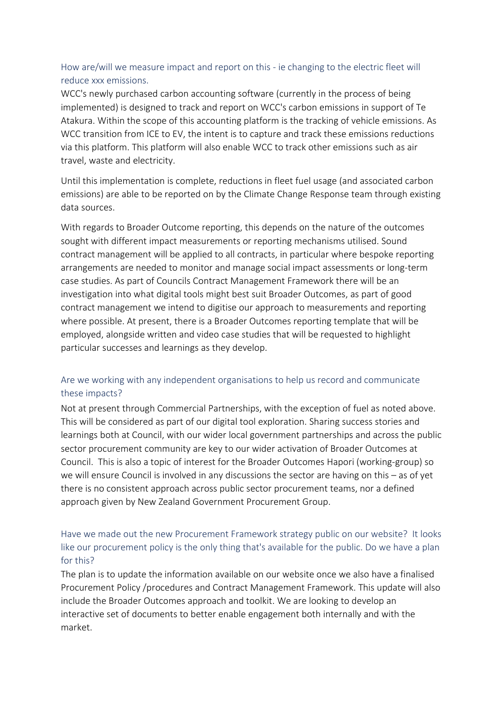### How are/will we measure impact and report on this - ie changing to the electric fleet will reduce xxx emissions.

WCC's newly purchased carbon accounting software (currently in the process of being implemented) is designed to track and report on WCC's carbon emissions in support of Te Atakura. Within the scope of this accounting platform is the tracking of vehicle emissions. As WCC transition from ICE to EV, the intent is to capture and track these emissions reductions via this platform. This platform will also enable WCC to track other emissions such as air travel, waste and electricity.

Until this implementation is complete, reductions in fleet fuel usage (and associated carbon emissions) are able to be reported on by the Climate Change Response team through existing data sources.

With regards to Broader Outcome reporting, this depends on the nature of the outcomes sought with different impact measurements or reporting mechanisms utilised. Sound contract management will be applied to all contracts, in particular where bespoke reporting arrangements are needed to monitor and manage social impact assessments or long-term case studies. As part of Councils Contract Management Framework there will be an investigation into what digital tools might best suit Broader Outcomes, as part of good contract management we intend to digitise our approach to measurements and reporting where possible. At present, there is a Broader Outcomes reporting template that will be employed, alongside written and video case studies that will be requested to highlight particular successes and learnings as they develop.

## Are we working with any independent organisations to help us record and communicate these impacts?

Not at present through Commercial Partnerships, with the exception of fuel as noted above. This will be considered as part of our digital tool exploration. Sharing success stories and learnings both at Council, with our wider local government partnerships and across the public sector procurement community are key to our wider activation of Broader Outcomes at Council. This is also a topic of interest for the Broader Outcomes Hapori (working-group) so we will ensure Council is involved in any discussions the sector are having on this – as of yet there is no consistent approach across public sector procurement teams, nor a defined approach given by New Zealand Government Procurement Group.

## Have we made out the new Procurement Framework strategy public on our website? It looks like our procurement policy is the only thing that's available for the public. Do we have a plan for this?

The plan is to update the information available on our website once we also have a finalised Procurement Policy /procedures and Contract Management Framework. This update will also include the Broader Outcomes approach and toolkit. We are looking to develop an interactive set of documents to better enable engagement both internally and with the market.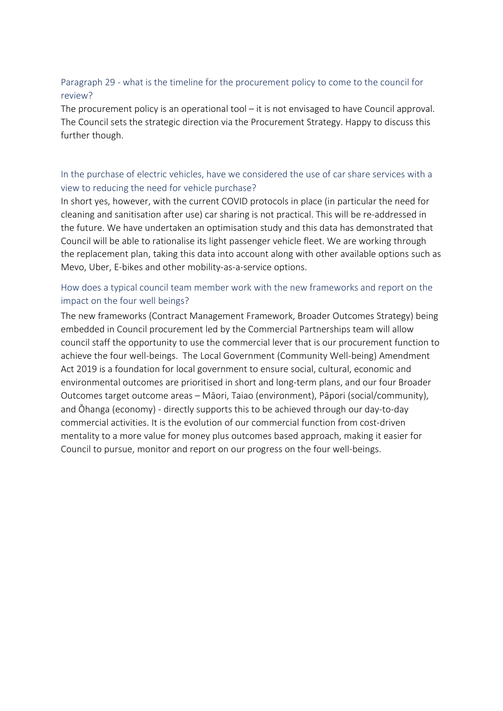#### Paragraph 29 - what is the timeline for the procurement policy to come to the council for review?

The procurement policy is an operational tool – it is not envisaged to have Council approval. The Council sets the strategic direction via the Procurement Strategy. Happy to discuss this further though.

#### In the purchase of electric vehicles, have we considered the use of car share services with a view to reducing the need for vehicle purchase?

In short yes, however, with the current COVID protocols in place (in particular the need for cleaning and sanitisation after use) car sharing is not practical. This will be re-addressed in the future. We have undertaken an optimisation study and this data has demonstrated that Council will be able to rationalise its light passenger vehicle fleet. We are working through the replacement plan, taking this data into account along with other available options such as Mevo, Uber, E-bikes and other mobility-as-a-service options.

#### How does a typical council team member work with the new frameworks and report on the impact on the four well beings?

The new frameworks (Contract Management Framework, Broader Outcomes Strategy) being embedded in Council procurement led by the Commercial Partnerships team will allow council staff the opportunity to use the commercial lever that is our procurement function to achieve the four well-beings. The Local Government (Community Well-being) Amendment Act 2019 is a foundation for local government to ensure social, cultural, economic and environmental outcomes are prioritised in short and long-term plans, and our four Broader Outcomes target outcome areas – Māori, Taiao (environment), Pāpori (social/community), and Ōhanga (economy) - directly supports this to be achieved through our day-to-day commercial activities. It is the evolution of our commercial function from cost-driven mentality to a more value for money plus outcomes based approach, making it easier for Council to pursue, monitor and report on our progress on the four well-beings.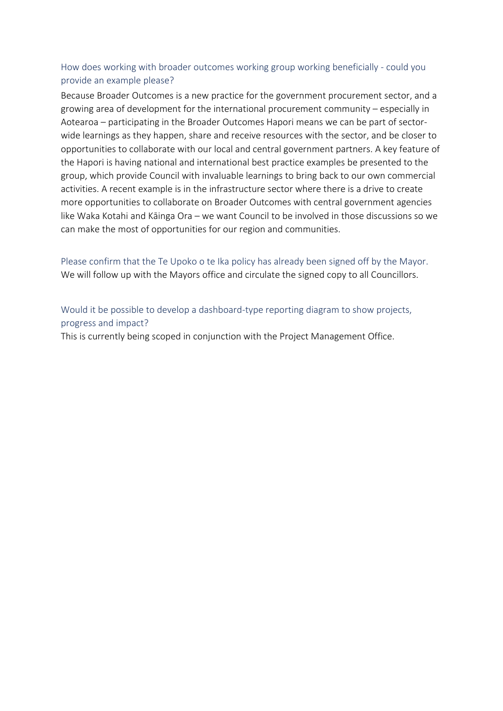#### How does working with broader outcomes working group working beneficially - could you provide an example please?

Because Broader Outcomes is a new practice for the government procurement sector, and a growing area of development for the international procurement community – especially in Aotearoa – participating in the Broader Outcomes Hapori means we can be part of sectorwide learnings as they happen, share and receive resources with the sector, and be closer to opportunities to collaborate with our local and central government partners. A key feature of the Hapori is having national and international best practice examples be presented to the group, which provide Council with invaluable learnings to bring back to our own commercial activities. A recent example is in the infrastructure sector where there is a drive to create more opportunities to collaborate on Broader Outcomes with central government agencies like Waka Kotahi and Kāinga Ora – we want Council to be involved in those discussions so we can make the most of opportunities for our region and communities.

Please confirm that the Te Upoko o te Ika policy has already been signed off by the Mayor. We will follow up with the Mayors office and circulate the signed copy to all Councillors.

Would it be possible to develop a dashboard-type reporting diagram to show projects, progress and impact? This is currently being scoped in conjunction with the Project Management Office.